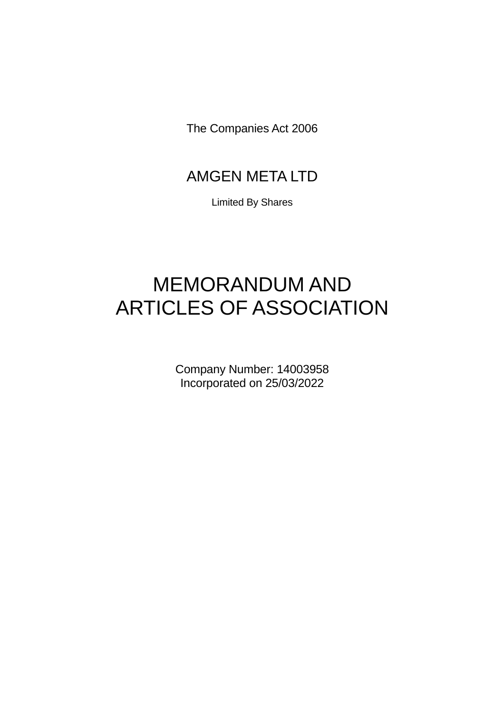The Companies Act 2006

# AMGEN META LTD

Limited By Shares

# MEMORANDUM AND ARTICLES OF ASSOCIATION

Company Number: 14003958 Incorporated on 25/03/2022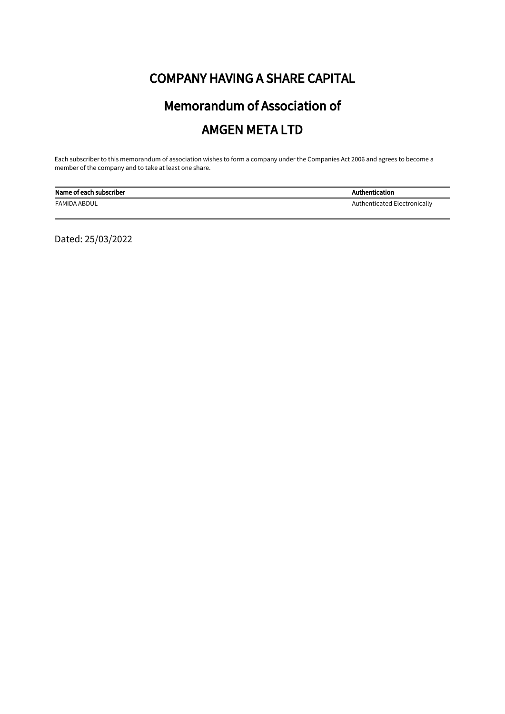# COMPANY HAVING A SHARE CAPITAL

# Memorandum of Association of AMGEN META LTD

Each subscriber to this memorandum of association wishes to form a company under the Companies Act 2006 and agrees to become a member of the company and to take at least one share.

| Name of each subscriber | Authentication               |
|-------------------------|------------------------------|
| <b>FAMIDA ABDUL</b>     | Authenticated Electronically |

Dated: 25/03/2022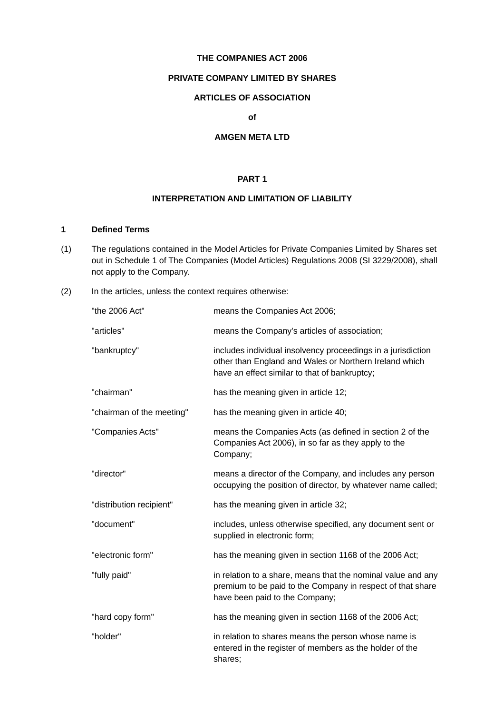#### **THE COMPANIES ACT 2006**

#### **PRIVATE COMPANY LIMITED BY SHARES**

# **ARTICLES OF ASSOCIATION**

#### **of**

# **AMGEN META LTD**

#### **PART 1**

#### **INTERPRETATION AND LIMITATION OF LIABILITY**

# **1 Defined Terms**

- (1) The regulations contained in the Model Articles for Private Companies Limited by Shares set out in Schedule 1 of The Companies (Model Articles) Regulations 2008 (SI 3229/2008), shall not apply to the Company.
- (2) In the articles, unless the context requires otherwise:

| "the 2006 Act"            | means the Companies Act 2006;                                                                                                                                           |
|---------------------------|-------------------------------------------------------------------------------------------------------------------------------------------------------------------------|
| "articles"                | means the Company's articles of association;                                                                                                                            |
| "bankruptcy"              | includes individual insolvency proceedings in a jurisdiction<br>other than England and Wales or Northern Ireland which<br>have an effect similar to that of bankruptcy; |
| "chairman"                | has the meaning given in article 12;                                                                                                                                    |
| "chairman of the meeting" | has the meaning given in article 40;                                                                                                                                    |
| "Companies Acts"          | means the Companies Acts (as defined in section 2 of the<br>Companies Act 2006), in so far as they apply to the<br>Company;                                             |
| "director"                | means a director of the Company, and includes any person<br>occupying the position of director, by whatever name called;                                                |
| "distribution recipient"  | has the meaning given in article 32;                                                                                                                                    |
| "document"                | includes, unless otherwise specified, any document sent or<br>supplied in electronic form;                                                                              |
| "electronic form"         | has the meaning given in section 1168 of the 2006 Act;                                                                                                                  |
| "fully paid"              | in relation to a share, means that the nominal value and any<br>premium to be paid to the Company in respect of that share<br>have been paid to the Company;            |
| "hard copy form"          | has the meaning given in section 1168 of the 2006 Act;                                                                                                                  |
| "holder"                  | in relation to shares means the person whose name is<br>entered in the register of members as the holder of the<br>shares;                                              |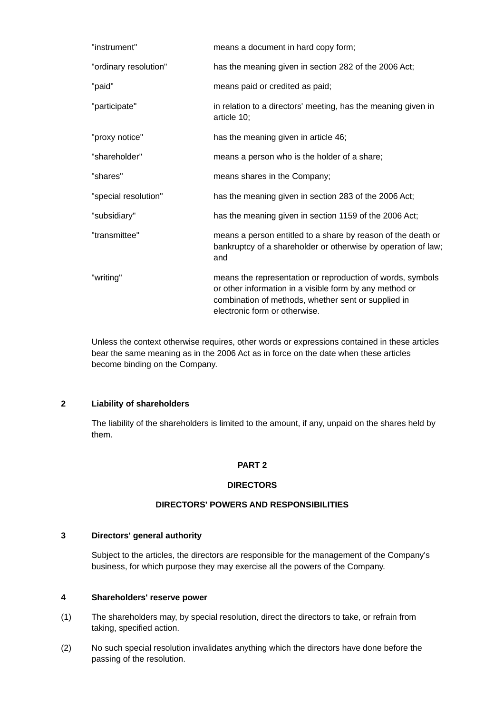| "instrument"          | means a document in hard copy form;                                                                                                                                                                           |
|-----------------------|---------------------------------------------------------------------------------------------------------------------------------------------------------------------------------------------------------------|
| "ordinary resolution" | has the meaning given in section 282 of the 2006 Act;                                                                                                                                                         |
| "paid"                | means paid or credited as paid;                                                                                                                                                                               |
| "participate"         | in relation to a directors' meeting, has the meaning given in<br>article 10;                                                                                                                                  |
| "proxy notice"        | has the meaning given in article 46;                                                                                                                                                                          |
| "shareholder"         | means a person who is the holder of a share;                                                                                                                                                                  |
| "shares"              | means shares in the Company;                                                                                                                                                                                  |
| "special resolution"  | has the meaning given in section 283 of the 2006 Act;                                                                                                                                                         |
| "subsidiary"          | has the meaning given in section 1159 of the 2006 Act;                                                                                                                                                        |
| "transmittee"         | means a person entitled to a share by reason of the death or<br>bankruptcy of a shareholder or otherwise by operation of law;<br>and                                                                          |
| "writing"             | means the representation or reproduction of words, symbols<br>or other information in a visible form by any method or<br>combination of methods, whether sent or supplied in<br>electronic form or otherwise. |

Unless the context otherwise requires, other words or expressions contained in these articles bear the same meaning as in the 2006 Act as in force on the date when these articles become binding on the Company.

# **2 Liability of shareholders**

The liability of the shareholders is limited to the amount, if any, unpaid on the shares held by them.

#### **PART 2**

#### **DIRECTORS**

### **DIRECTORS' POWERS AND RESPONSIBILITIES**

#### **3 Directors' general authority**

Subject to the articles, the directors are responsible for the management of the Company's business, for which purpose they may exercise all the powers of the Company.

#### **4 Shareholders' reserve power**

- (1) The shareholders may, by special resolution, direct the directors to take, or refrain from taking, specified action.
- (2) No such special resolution invalidates anything which the directors have done before the passing of the resolution.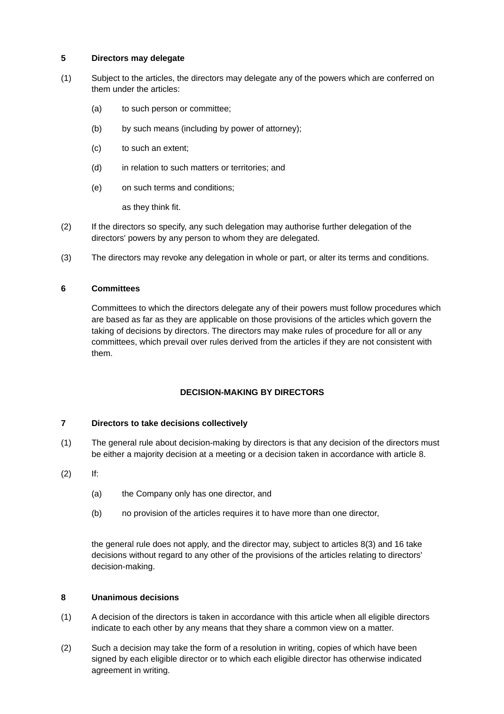# **5 Directors may delegate**

- (1) Subject to the articles, the directors may delegate any of the powers which are conferred on them under the articles:
	- (a) to such person or committee;
	- (b) by such means (including by power of attorney);
	- (c) to such an extent;
	- (d) in relation to such matters or territories; and
	- (e) on such terms and conditions;

as they think fit.

- (2) If the directors so specify, any such delegation may authorise further delegation of the directors' powers by any person to whom they are delegated.
- (3) The directors may revoke any delegation in whole or part, or alter its terms and conditions.

# **6 Committees**

Committees to which the directors delegate any of their powers must follow procedures which are based as far as they are applicable on those provisions of the articles which govern the taking of decisions by directors. The directors may make rules of procedure for all or any committees, which prevail over rules derived from the articles if they are not consistent with them.

# **DECISION-MAKING BY DIRECTORS**

# **7 Directors to take decisions collectively**

- (1) The general rule about decision-making by directors is that any decision of the directors must be either a majority decision at a meeting or a decision taken in accordance with article 8.
- (2) If:
	- (a) the Company only has one director, and
	- (b) no provision of the articles requires it to have more than one director,

the general rule does not apply, and the director may, subject to articles 8(3) and 16 take decisions without regard to any other of the provisions of the articles relating to directors' decision-making.

# **8 Unanimous decisions**

- (1) A decision of the directors is taken in accordance with this article when all eligible directors indicate to each other by any means that they share a common view on a matter.
- (2) Such a decision may take the form of a resolution in writing, copies of which have been signed by each eligible director or to which each eligible director has otherwise indicated agreement in writing.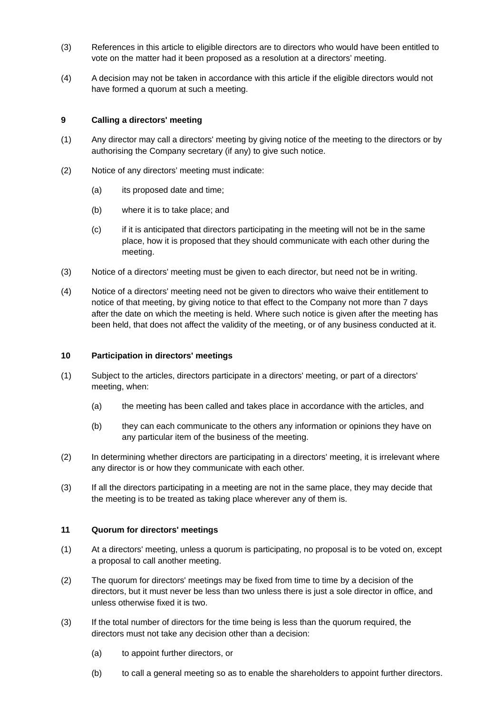- (3) References in this article to eligible directors are to directors who would have been entitled to vote on the matter had it been proposed as a resolution at a directors' meeting.
- (4) A decision may not be taken in accordance with this article if the eligible directors would not have formed a quorum at such a meeting.

### **9 Calling a directors' meeting**

- (1) Any director may call a directors' meeting by giving notice of the meeting to the directors or by authorising the Company secretary (if any) to give such notice.
- (2) Notice of any directors' meeting must indicate:
	- (a) its proposed date and time;
	- (b) where it is to take place; and
	- (c) if it is anticipated that directors participating in the meeting will not be in the same place, how it is proposed that they should communicate with each other during the meeting.
- (3) Notice of a directors' meeting must be given to each director, but need not be in writing.
- (4) Notice of a directors' meeting need not be given to directors who waive their entitlement to notice of that meeting, by giving notice to that effect to the Company not more than 7 days after the date on which the meeting is held. Where such notice is given after the meeting has been held, that does not affect the validity of the meeting, or of any business conducted at it.

#### **10 Participation in directors' meetings**

- (1) Subject to the articles, directors participate in a directors' meeting, or part of a directors' meeting, when:
	- (a) the meeting has been called and takes place in accordance with the articles, and
	- (b) they can each communicate to the others any information or opinions they have on any particular item of the business of the meeting.
- (2) In determining whether directors are participating in a directors' meeting, it is irrelevant where any director is or how they communicate with each other.
- (3) If all the directors participating in a meeting are not in the same place, they may decide that the meeting is to be treated as taking place wherever any of them is.

#### **11 Quorum for directors' meetings**

- (1) At a directors' meeting, unless a quorum is participating, no proposal is to be voted on, except a proposal to call another meeting.
- (2) The quorum for directors' meetings may be fixed from time to time by a decision of the directors, but it must never be less than two unless there is just a sole director in office, and unless otherwise fixed it is two.
- (3) If the total number of directors for the time being is less than the quorum required, the directors must not take any decision other than a decision:
	- (a) to appoint further directors, or
	- (b) to call a general meeting so as to enable the shareholders to appoint further directors.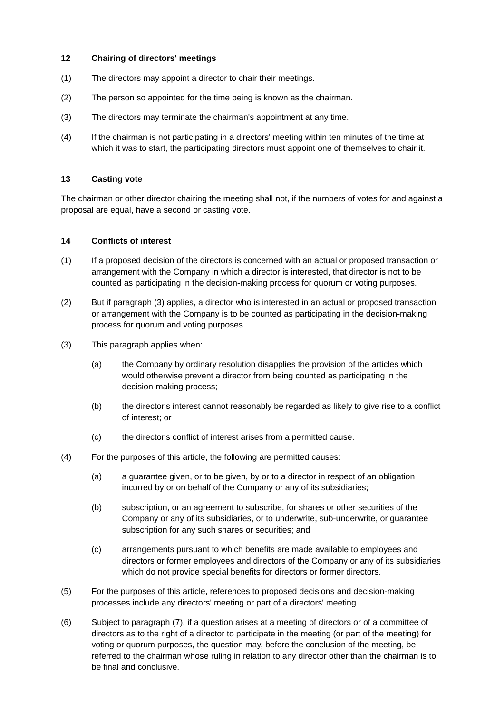# **12 Chairing of directors' meetings**

- (1) The directors may appoint a director to chair their meetings.
- (2) The person so appointed for the time being is known as the chairman.
- (3) The directors may terminate the chairman's appointment at any time.
- (4) If the chairman is not participating in a directors' meeting within ten minutes of the time at which it was to start, the participating directors must appoint one of themselves to chair it.

#### **13 Casting vote**

The chairman or other director chairing the meeting shall not, if the numbers of votes for and against a proposal are equal, have a second or casting vote.

#### **14 Conflicts of interest**

- (1) If a proposed decision of the directors is concerned with an actual or proposed transaction or arrangement with the Company in which a director is interested, that director is not to be counted as participating in the decision-making process for quorum or voting purposes.
- (2) But if paragraph (3) applies, a director who is interested in an actual or proposed transaction or arrangement with the Company is to be counted as participating in the decision-making process for quorum and voting purposes.
- (3) This paragraph applies when:
	- (a) the Company by ordinary resolution disapplies the provision of the articles which would otherwise prevent a director from being counted as participating in the decision-making process;
	- (b) the director's interest cannot reasonably be regarded as likely to give rise to a conflict of interest; or
	- (c) the director's conflict of interest arises from a permitted cause.
- (4) For the purposes of this article, the following are permitted causes:
	- (a) a guarantee given, or to be given, by or to a director in respect of an obligation incurred by or on behalf of the Company or any of its subsidiaries;
	- (b) subscription, or an agreement to subscribe, for shares or other securities of the Company or any of its subsidiaries, or to underwrite, sub-underwrite, or guarantee subscription for any such shares or securities; and
	- (c) arrangements pursuant to which benefits are made available to employees and directors or former employees and directors of the Company or any of its subsidiaries which do not provide special benefits for directors or former directors.
- (5) For the purposes of this article, references to proposed decisions and decision-making processes include any directors' meeting or part of a directors' meeting.
- (6) Subject to paragraph (7), if a question arises at a meeting of directors or of a committee of directors as to the right of a director to participate in the meeting (or part of the meeting) for voting or quorum purposes, the question may, before the conclusion of the meeting, be referred to the chairman whose ruling in relation to any director other than the chairman is to be final and conclusive.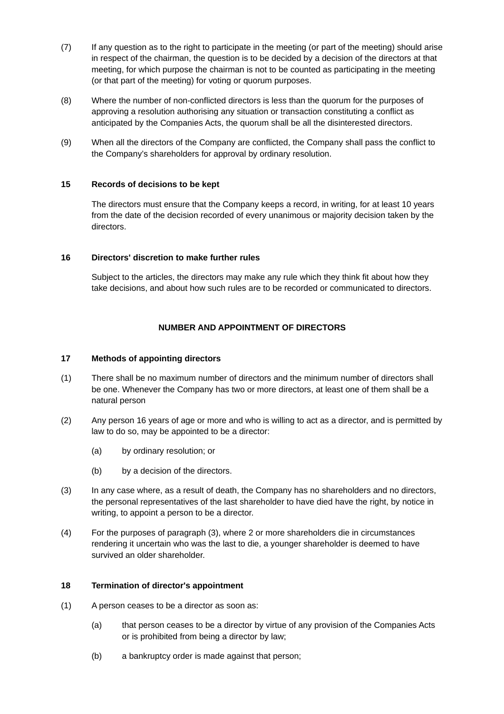- (7) If any question as to the right to participate in the meeting (or part of the meeting) should arise in respect of the chairman, the question is to be decided by a decision of the directors at that meeting, for which purpose the chairman is not to be counted as participating in the meeting (or that part of the meeting) for voting or quorum purposes.
- (8) Where the number of non-conflicted directors is less than the quorum for the purposes of approving a resolution authorising any situation or transaction constituting a conflict as anticipated by the Companies Acts, the quorum shall be all the disinterested directors.
- (9) When all the directors of the Company are conflicted, the Company shall pass the conflict to the Company's shareholders for approval by ordinary resolution.

# **15 Records of decisions to be kept**

The directors must ensure that the Company keeps a record, in writing, for at least 10 years from the date of the decision recorded of every unanimous or majority decision taken by the directors.

# **16 Directors' discretion to make further rules**

Subject to the articles, the directors may make any rule which they think fit about how they take decisions, and about how such rules are to be recorded or communicated to directors.

# **NUMBER AND APPOINTMENT OF DIRECTORS**

### **17 Methods of appointing directors**

- (1) There shall be no maximum number of directors and the minimum number of directors shall be one. Whenever the Company has two or more directors, at least one of them shall be a natural person
- (2) Any person 16 years of age or more and who is willing to act as a director, and is permitted by law to do so, may be appointed to be a director:
	- (a) by ordinary resolution; or
	- (b) by a decision of the directors.
- (3) In any case where, as a result of death, the Company has no shareholders and no directors, the personal representatives of the last shareholder to have died have the right, by notice in writing, to appoint a person to be a director.
- (4) For the purposes of paragraph (3), where 2 or more shareholders die in circumstances rendering it uncertain who was the last to die, a younger shareholder is deemed to have survived an older shareholder.

#### **18 Termination of director's appointment**

- (1) A person ceases to be a director as soon as:
	- (a) that person ceases to be a director by virtue of any provision of the Companies Acts or is prohibited from being a director by law;
	- (b) a bankruptcy order is made against that person;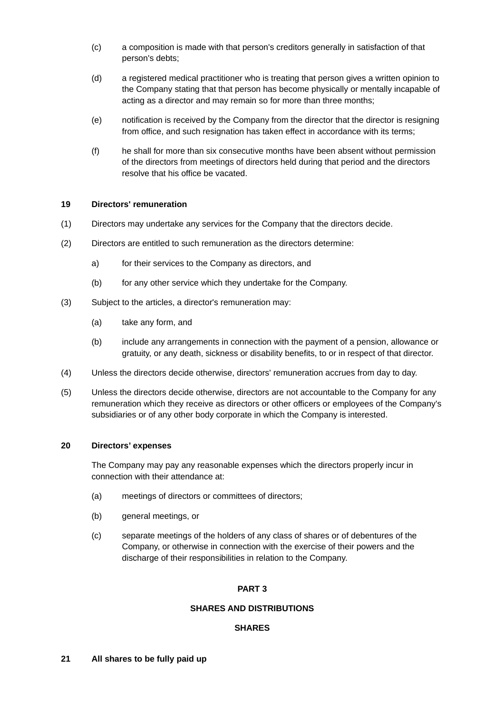- (c) a composition is made with that person's creditors generally in satisfaction of that person's debts;
- (d) a registered medical practitioner who is treating that person gives a written opinion to the Company stating that that person has become physically or mentally incapable of acting as a director and may remain so for more than three months;
- (e) notification is received by the Company from the director that the director is resigning from office, and such resignation has taken effect in accordance with its terms;
- (f) he shall for more than six consecutive months have been absent without permission of the directors from meetings of directors held during that period and the directors resolve that his office be vacated.

#### **19 Directors' remuneration**

- (1) Directors may undertake any services for the Company that the directors decide.
- (2) Directors are entitled to such remuneration as the directors determine:
	- a) for their services to the Company as directors, and
	- (b) for any other service which they undertake for the Company.
- (3) Subject to the articles, a director's remuneration may:
	- (a) take any form, and
	- (b) include any arrangements in connection with the payment of a pension, allowance or gratuity, or any death, sickness or disability benefits, to or in respect of that director.
- (4) Unless the directors decide otherwise, directors' remuneration accrues from day to day.
- (5) Unless the directors decide otherwise, directors are not accountable to the Company for any remuneration which they receive as directors or other officers or employees of the Company's subsidiaries or of any other body corporate in which the Company is interested.

#### **20 Directors' expenses**

The Company may pay any reasonable expenses which the directors properly incur in connection with their attendance at:

- (a) meetings of directors or committees of directors;
- (b) general meetings, or
- (c) separate meetings of the holders of any class of shares or of debentures of the Company, or otherwise in connection with the exercise of their powers and the discharge of their responsibilities in relation to the Company.

#### **PART 3**

#### **SHARES AND DISTRIBUTIONS**

#### **SHARES**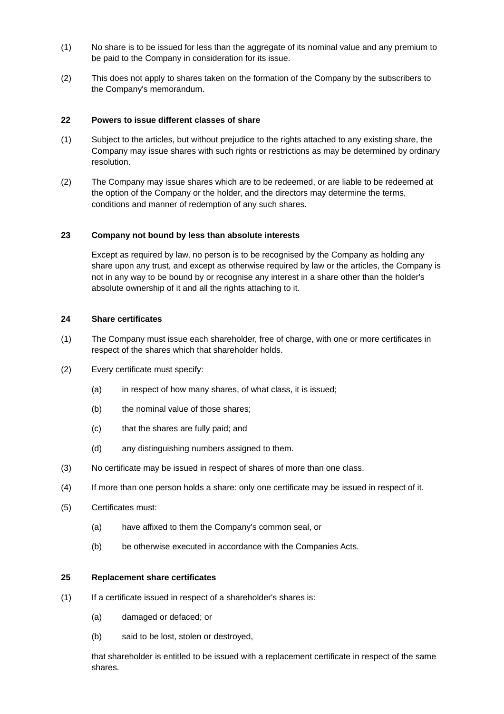- (1) No share is to be issued for less than the aggregate of its nominal value and any premium to be paid to the Company in consideration for its issue.
- (2) This does not apply to shares taken on the formation of the Company by the subscribers to the Company's memorandum.

# **22 Powers to issue different classes of share**

- (1) Subject to the articles, but without prejudice to the rights attached to any existing share, the Company may issue shares with such rights or restrictions as may be determined by ordinary resolution.
- (2) The Company may issue shares which are to be redeemed, or are liable to be redeemed at the option of the Company or the holder, and the directors may determine the terms, conditions and manner of redemption of any such shares.

#### **23 Company not bound by less than absolute interests**

Except as required by law, no person is to be recognised by the Company as holding any share upon any trust, and except as otherwise required by law or the articles, the Company is not in any way to be bound by or recognise any interest in a share other than the holder's absolute ownership of it and all the rights attaching to it.

# **24 Share certificates**

- (1) The Company must issue each shareholder, free of charge, with one or more certificates in respect of the shares which that shareholder holds.
- (2) Every certificate must specify:
	- (a) in respect of how many shares, of what class, it is issued;
	- (b) the nominal value of those shares;
	- (c) that the shares are fully paid; and
	- (d) any distinguishing numbers assigned to them.
- (3) No certificate may be issued in respect of shares of more than one class.
- (4) If more than one person holds a share: only one certificate may be issued in respect of it.
- (5) Certificates must:
	- (a) have affixed to them the Company's common seal, or
	- (b) be otherwise executed in accordance with the Companies Acts.

#### **25 Replacement share certificates**

- (1) If a certificate issued in respect of a shareholder's shares is:
	- (a) damaged or defaced; or
	- (b) said to be lost, stolen or destroyed,

that shareholder is entitled to be issued with a replacement certificate in respect of the same shares.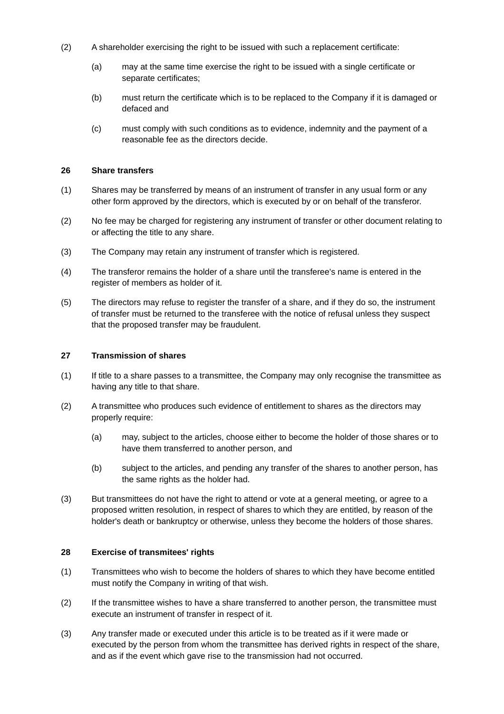- (2) A shareholder exercising the right to be issued with such a replacement certificate:
	- (a) may at the same time exercise the right to be issued with a single certificate or separate certificates;
	- (b) must return the certificate which is to be replaced to the Company if it is damaged or defaced and
	- (c) must comply with such conditions as to evidence, indemnity and the payment of a reasonable fee as the directors decide.

### **26 Share transfers**

- (1) Shares may be transferred by means of an instrument of transfer in any usual form or any other form approved by the directors, which is executed by or on behalf of the transferor.
- (2) No fee may be charged for registering any instrument of transfer or other document relating to or affecting the title to any share.
- (3) The Company may retain any instrument of transfer which is registered.
- (4) The transferor remains the holder of a share until the transferee's name is entered in the register of members as holder of it.
- (5) The directors may refuse to register the transfer of a share, and if they do so, the instrument of transfer must be returned to the transferee with the notice of refusal unless they suspect that the proposed transfer may be fraudulent.

#### **27 Transmission of shares**

- (1) If title to a share passes to a transmittee, the Company may only recognise the transmittee as having any title to that share.
- (2) A transmittee who produces such evidence of entitlement to shares as the directors may properly require:
	- (a) may, subject to the articles, choose either to become the holder of those shares or to have them transferred to another person, and
	- (b) subject to the articles, and pending any transfer of the shares to another person, has the same rights as the holder had.
- (3) But transmittees do not have the right to attend or vote at a general meeting, or agree to a proposed written resolution, in respect of shares to which they are entitled, by reason of the holder's death or bankruptcy or otherwise, unless they become the holders of those shares.

#### **28 Exercise of transmitees' rights**

- (1) Transmittees who wish to become the holders of shares to which they have become entitled must notify the Company in writing of that wish.
- (2) If the transmittee wishes to have a share transferred to another person, the transmittee must execute an instrument of transfer in respect of it.
- (3) Any transfer made or executed under this article is to be treated as if it were made or executed by the person from whom the transmittee has derived rights in respect of the share, and as if the event which gave rise to the transmission had not occurred.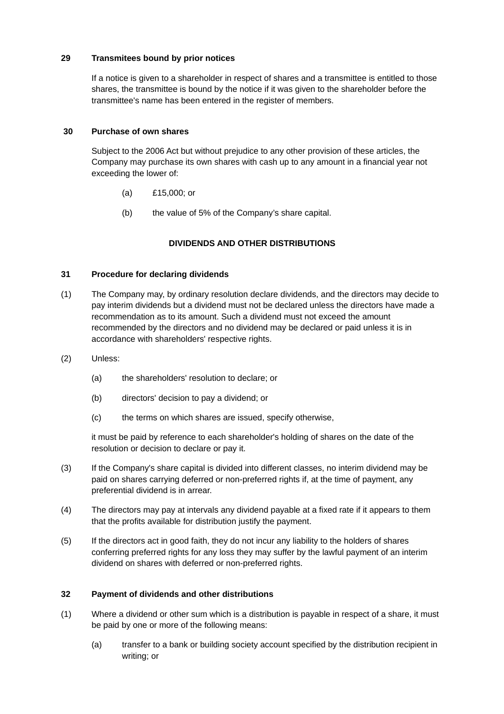# **29 Transmitees bound by prior notices**

If a notice is given to a shareholder in respect of shares and a transmittee is entitled to those shares, the transmittee is bound by the notice if it was given to the shareholder before the transmittee's name has been entered in the register of members.

# **30 Purchase of own shares**

Subject to the 2006 Act but without prejudice to any other provision of these articles, the Company may purchase its own shares with cash up to any amount in a financial year not exceeding the lower of:

- (a) £15,000; or
- (b) the value of 5% of the Company's share capital.

# **DIVIDENDS AND OTHER DISTRIBUTIONS**

# **31 Procedure for declaring dividends**

- (1) The Company may, by ordinary resolution declare dividends, and the directors may decide to pay interim dividends but a dividend must not be declared unless the directors have made a recommendation as to its amount. Such a dividend must not exceed the amount recommended by the directors and no dividend may be declared or paid unless it is in accordance with shareholders' respective rights.
- (2) Unless:
	- (a) the shareholders' resolution to declare; or
	- (b) directors' decision to pay a dividend; or
	- (c) the terms on which shares are issued, specify otherwise,

it must be paid by reference to each shareholder's holding of shares on the date of the resolution or decision to declare or pay it.

- (3) If the Company's share capital is divided into different classes, no interim dividend may be paid on shares carrying deferred or non-preferred rights if, at the time of payment, any preferential dividend is in arrear.
- (4) The directors may pay at intervals any dividend payable at a fixed rate if it appears to them that the profits available for distribution justify the payment.
- (5) If the directors act in good faith, they do not incur any liability to the holders of shares conferring preferred rights for any loss they may suffer by the lawful payment of an interim dividend on shares with deferred or non-preferred rights.

# **32 Payment of dividends and other distributions**

- (1) Where a dividend or other sum which is a distribution is payable in respect of a share, it must be paid by one or more of the following means:
	- (a) transfer to a bank or building society account specified by the distribution recipient in writing; or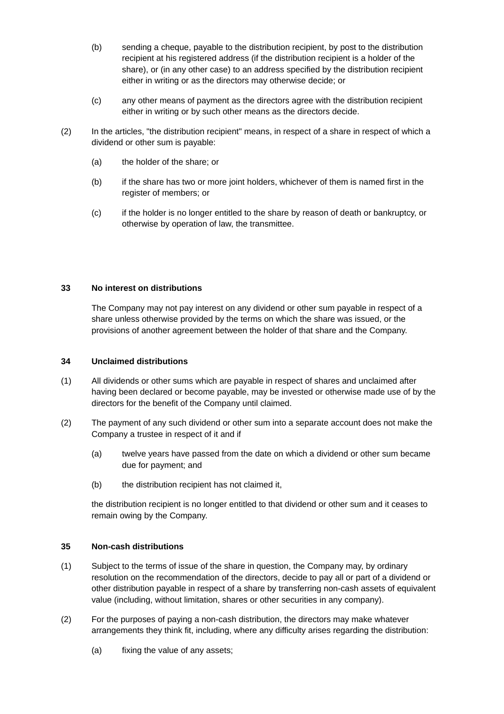- (b) sending a cheque, payable to the distribution recipient, by post to the distribution recipient at his registered address (if the distribution recipient is a holder of the share), or (in any other case) to an address specified by the distribution recipient either in writing or as the directors may otherwise decide; or
- (c) any other means of payment as the directors agree with the distribution recipient either in writing or by such other means as the directors decide.
- (2) In the articles, "the distribution recipient" means, in respect of a share in respect of which a dividend or other sum is payable:
	- (a) the holder of the share; or
	- (b) if the share has two or more joint holders, whichever of them is named first in the register of members; or
	- (c) if the holder is no longer entitled to the share by reason of death or bankruptcy, or otherwise by operation of law, the transmittee.

# **33 No interest on distributions**

The Company may not pay interest on any dividend or other sum payable in respect of a share unless otherwise provided by the terms on which the share was issued, or the provisions of another agreement between the holder of that share and the Company.

# **34 Unclaimed distributions**

- (1) All dividends or other sums which are payable in respect of shares and unclaimed after having been declared or become payable, may be invested or otherwise made use of by the directors for the benefit of the Company until claimed.
- (2) The payment of any such dividend or other sum into a separate account does not make the Company a trustee in respect of it and if
	- (a) twelve years have passed from the date on which a dividend or other sum became due for payment; and
	- (b) the distribution recipient has not claimed it,

the distribution recipient is no longer entitled to that dividend or other sum and it ceases to remain owing by the Company.

# **35 Non-cash distributions**

- (1) Subject to the terms of issue of the share in question, the Company may, by ordinary resolution on the recommendation of the directors, decide to pay all or part of a dividend or other distribution payable in respect of a share by transferring non-cash assets of equivalent value (including, without limitation, shares or other securities in any company).
- (2) For the purposes of paying a non-cash distribution, the directors may make whatever arrangements they think fit, including, where any difficulty arises regarding the distribution:
	- (a) fixing the value of any assets;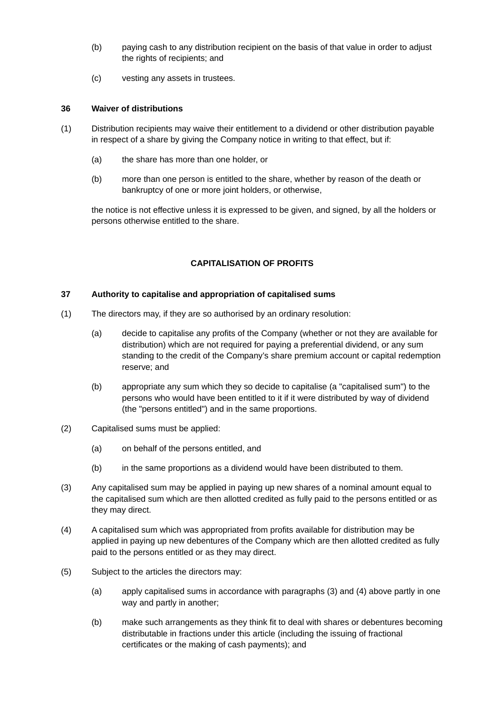- (b) paying cash to any distribution recipient on the basis of that value in order to adjust the rights of recipients; and
- (c) vesting any assets in trustees.

### **36 Waiver of distributions**

- (1) Distribution recipients may waive their entitlement to a dividend or other distribution payable in respect of a share by giving the Company notice in writing to that effect, but if:
	- (a) the share has more than one holder, or
	- (b) more than one person is entitled to the share, whether by reason of the death or bankruptcy of one or more joint holders, or otherwise,

the notice is not effective unless it is expressed to be given, and signed, by all the holders or persons otherwise entitled to the share.

# **CAPITALISATION OF PROFITS**

# **37 Authority to capitalise and appropriation of capitalised sums**

- (1) The directors may, if they are so authorised by an ordinary resolution:
	- (a) decide to capitalise any profits of the Company (whether or not they are available for distribution) which are not required for paying a preferential dividend, or any sum standing to the credit of the Company's share premium account or capital redemption reserve; and
	- (b) appropriate any sum which they so decide to capitalise (a "capitalised sum") to the persons who would have been entitled to it if it were distributed by way of dividend (the "persons entitled") and in the same proportions.
- (2) Capitalised sums must be applied:
	- (a) on behalf of the persons entitled, and
	- (b) in the same proportions as a dividend would have been distributed to them.
- (3) Any capitalised sum may be applied in paying up new shares of a nominal amount equal to the capitalised sum which are then allotted credited as fully paid to the persons entitled or as they may direct.
- (4) A capitalised sum which was appropriated from profits available for distribution may be applied in paying up new debentures of the Company which are then allotted credited as fully paid to the persons entitled or as they may direct.
- (5) Subject to the articles the directors may:
	- (a) apply capitalised sums in accordance with paragraphs (3) and (4) above partly in one way and partly in another;
	- (b) make such arrangements as they think fit to deal with shares or debentures becoming distributable in fractions under this article (including the issuing of fractional certificates or the making of cash payments); and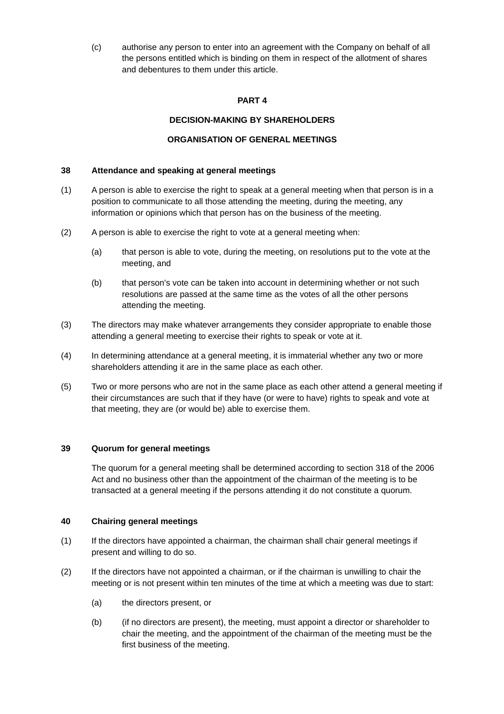(c) authorise any person to enter into an agreement with the Company on behalf of all the persons entitled which is binding on them in respect of the allotment of shares and debentures to them under this article.

# **PART 4**

# **DECISION-MAKING BY SHAREHOLDERS**

# **ORGANISATION OF GENERAL MEETINGS**

# **38 Attendance and speaking at general meetings**

- (1) A person is able to exercise the right to speak at a general meeting when that person is in a position to communicate to all those attending the meeting, during the meeting, any information or opinions which that person has on the business of the meeting.
- (2) A person is able to exercise the right to vote at a general meeting when:
	- (a) that person is able to vote, during the meeting, on resolutions put to the vote at the meeting, and
	- (b) that person's vote can be taken into account in determining whether or not such resolutions are passed at the same time as the votes of all the other persons attending the meeting.
- (3) The directors may make whatever arrangements they consider appropriate to enable those attending a general meeting to exercise their rights to speak or vote at it.
- (4) In determining attendance at a general meeting, it is immaterial whether any two or more shareholders attending it are in the same place as each other.
- (5) Two or more persons who are not in the same place as each other attend a general meeting if their circumstances are such that if they have (or were to have) rights to speak and vote at that meeting, they are (or would be) able to exercise them.

# **39 Quorum for general meetings**

The quorum for a general meeting shall be determined according to section 318 of the 2006 Act and no business other than the appointment of the chairman of the meeting is to be transacted at a general meeting if the persons attending it do not constitute a quorum.

#### **40 Chairing general meetings**

- (1) If the directors have appointed a chairman, the chairman shall chair general meetings if present and willing to do so.
- (2) If the directors have not appointed a chairman, or if the chairman is unwilling to chair the meeting or is not present within ten minutes of the time at which a meeting was due to start:
	- (a) the directors present, or
	- (b) (if no directors are present), the meeting, must appoint a director or shareholder to chair the meeting, and the appointment of the chairman of the meeting must be the first business of the meeting.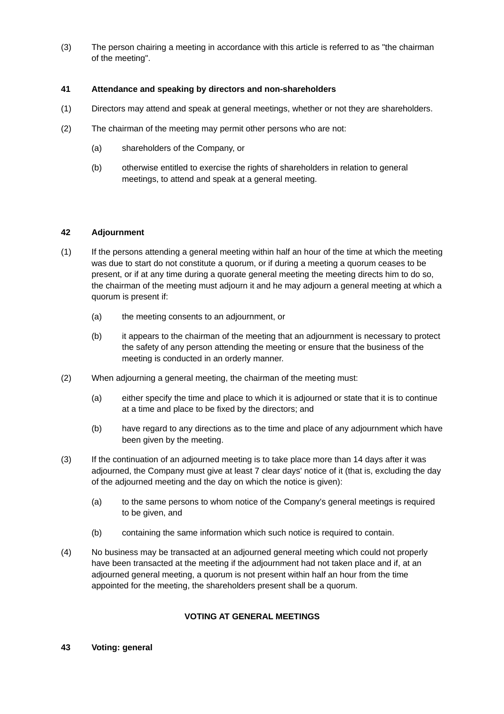(3) The person chairing a meeting in accordance with this article is referred to as "the chairman of the meeting".

# **41 Attendance and speaking by directors and non-shareholders**

- (1) Directors may attend and speak at general meetings, whether or not they are shareholders.
- (2) The chairman of the meeting may permit other persons who are not:
	- (a) shareholders of the Company, or
	- (b) otherwise entitled to exercise the rights of shareholders in relation to general meetings, to attend and speak at a general meeting.

# **42 Adjournment**

- (1) If the persons attending a general meeting within half an hour of the time at which the meeting was due to start do not constitute a quorum, or if during a meeting a quorum ceases to be present, or if at any time during a quorate general meeting the meeting directs him to do so, the chairman of the meeting must adjourn it and he may adjourn a general meeting at which a quorum is present if:
	- (a) the meeting consents to an adjournment, or
	- (b) it appears to the chairman of the meeting that an adjournment is necessary to protect the safety of any person attending the meeting or ensure that the business of the meeting is conducted in an orderly manner.
- (2) When adjourning a general meeting, the chairman of the meeting must:
	- (a) either specify the time and place to which it is adjourned or state that it is to continue at a time and place to be fixed by the directors; and
	- (b) have regard to any directions as to the time and place of any adjournment which have been given by the meeting.
- (3) If the continuation of an adjourned meeting is to take place more than 14 days after it was adjourned, the Company must give at least 7 clear days' notice of it (that is, excluding the day of the adjourned meeting and the day on which the notice is given):
	- (a) to the same persons to whom notice of the Company's general meetings is required to be given, and
	- (b) containing the same information which such notice is required to contain.
- (4) No business may be transacted at an adjourned general meeting which could not properly have been transacted at the meeting if the adjournment had not taken place and if, at an adjourned general meeting, a quorum is not present within half an hour from the time appointed for the meeting, the shareholders present shall be a quorum.

# **VOTING AT GENERAL MEETINGS**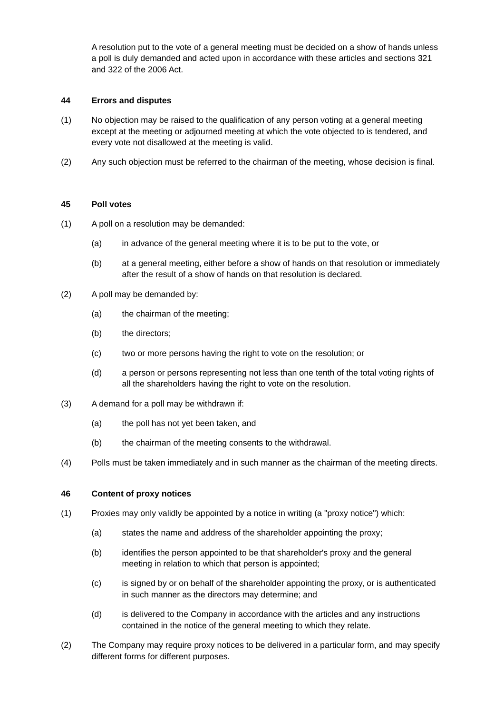A resolution put to the vote of a general meeting must be decided on a show of hands unless a poll is duly demanded and acted upon in accordance with these articles and sections 321 and 322 of the 2006 Act.

### **44 Errors and disputes**

- (1) No objection may be raised to the qualification of any person voting at a general meeting except at the meeting or adjourned meeting at which the vote objected to is tendered, and every vote not disallowed at the meeting is valid.
- (2) Any such objection must be referred to the chairman of the meeting, whose decision is final.

#### **45 Poll votes**

- (1) A poll on a resolution may be demanded:
	- (a) in advance of the general meeting where it is to be put to the vote, or
	- (b) at a general meeting, either before a show of hands on that resolution or immediately after the result of a show of hands on that resolution is declared.
- (2) A poll may be demanded by:
	- (a) the chairman of the meeting;
	- (b) the directors;
	- (c) two or more persons having the right to vote on the resolution; or
	- (d) a person or persons representing not less than one tenth of the total voting rights of all the shareholders having the right to vote on the resolution.
- (3) A demand for a poll may be withdrawn if:
	- (a) the poll has not yet been taken, and
	- (b) the chairman of the meeting consents to the withdrawal.
- (4) Polls must be taken immediately and in such manner as the chairman of the meeting directs.

#### **46 Content of proxy notices**

- (1) Proxies may only validly be appointed by a notice in writing (a "proxy notice") which:
	- (a) states the name and address of the shareholder appointing the proxy;
	- (b) identifies the person appointed to be that shareholder's proxy and the general meeting in relation to which that person is appointed;
	- (c) is signed by or on behalf of the shareholder appointing the proxy, or is authenticated in such manner as the directors may determine; and
	- (d) is delivered to the Company in accordance with the articles and any instructions contained in the notice of the general meeting to which they relate.
- (2) The Company may require proxy notices to be delivered in a particular form, and may specify different forms for different purposes.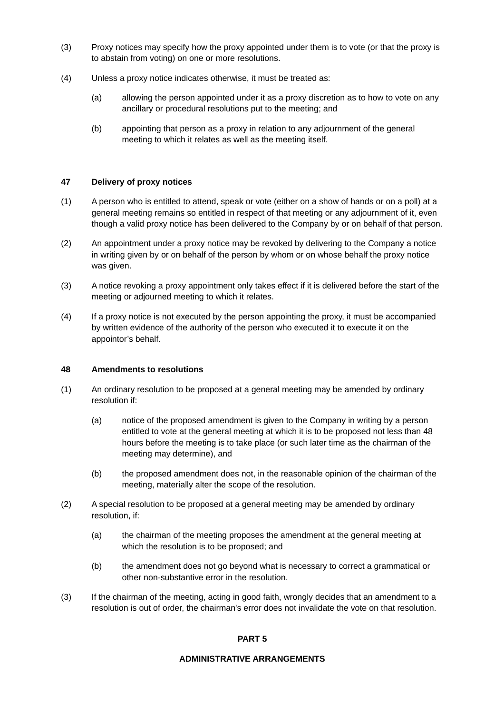- (3) Proxy notices may specify how the proxy appointed under them is to vote (or that the proxy is to abstain from voting) on one or more resolutions.
- (4) Unless a proxy notice indicates otherwise, it must be treated as:
	- (a) allowing the person appointed under it as a proxy discretion as to how to vote on any ancillary or procedural resolutions put to the meeting; and
	- (b) appointing that person as a proxy in relation to any adjournment of the general meeting to which it relates as well as the meeting itself.

#### **47 Delivery of proxy notices**

- (1) A person who is entitled to attend, speak or vote (either on a show of hands or on a poll) at a general meeting remains so entitled in respect of that meeting or any adjournment of it, even though a valid proxy notice has been delivered to the Company by or on behalf of that person.
- (2) An appointment under a proxy notice may be revoked by delivering to the Company a notice in writing given by or on behalf of the person by whom or on whose behalf the proxy notice was given.
- (3) A notice revoking a proxy appointment only takes effect if it is delivered before the start of the meeting or adjourned meeting to which it relates.
- (4) If a proxy notice is not executed by the person appointing the proxy, it must be accompanied by written evidence of the authority of the person who executed it to execute it on the appointor's behalf.

#### **48 Amendments to resolutions**

- (1) An ordinary resolution to be proposed at a general meeting may be amended by ordinary resolution if:
	- (a) notice of the proposed amendment is given to the Company in writing by a person entitled to vote at the general meeting at which it is to be proposed not less than 48 hours before the meeting is to take place (or such later time as the chairman of the meeting may determine), and
	- (b) the proposed amendment does not, in the reasonable opinion of the chairman of the meeting, materially alter the scope of the resolution.
- (2) A special resolution to be proposed at a general meeting may be amended by ordinary resolution, if:
	- (a) the chairman of the meeting proposes the amendment at the general meeting at which the resolution is to be proposed; and
	- (b) the amendment does not go beyond what is necessary to correct a grammatical or other non-substantive error in the resolution.
- (3) If the chairman of the meeting, acting in good faith, wrongly decides that an amendment to a resolution is out of order, the chairman's error does not invalidate the vote on that resolution.

#### **PART 5**

#### **ADMINISTRATIVE ARRANGEMENTS**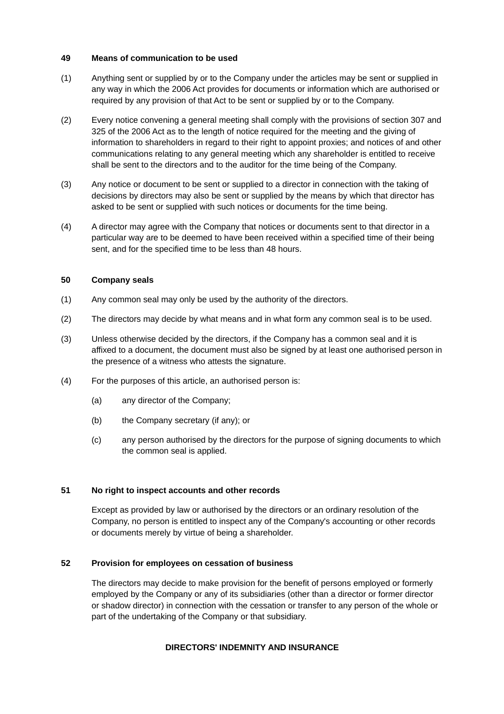#### **49 Means of communication to be used**

- (1) Anything sent or supplied by or to the Company under the articles may be sent or supplied in any way in which the 2006 Act provides for documents or information which are authorised or required by any provision of that Act to be sent or supplied by or to the Company.
- (2) Every notice convening a general meeting shall comply with the provisions of section 307 and 325 of the 2006 Act as to the length of notice required for the meeting and the giving of information to shareholders in regard to their right to appoint proxies; and notices of and other communications relating to any general meeting which any shareholder is entitled to receive shall be sent to the directors and to the auditor for the time being of the Company.
- (3) Any notice or document to be sent or supplied to a director in connection with the taking of decisions by directors may also be sent or supplied by the means by which that director has asked to be sent or supplied with such notices or documents for the time being.
- (4) A director may agree with the Company that notices or documents sent to that director in a particular way are to be deemed to have been received within a specified time of their being sent, and for the specified time to be less than 48 hours.

#### **50 Company seals**

- (1) Any common seal may only be used by the authority of the directors.
- (2) The directors may decide by what means and in what form any common seal is to be used.
- (3) Unless otherwise decided by the directors, if the Company has a common seal and it is affixed to a document, the document must also be signed by at least one authorised person in the presence of a witness who attests the signature.
- (4) For the purposes of this article, an authorised person is:
	- (a) any director of the Company;
	- (b) the Company secretary (if any); or
	- (c) any person authorised by the directors for the purpose of signing documents to which the common seal is applied.

#### **51 No right to inspect accounts and other records**

Except as provided by law or authorised by the directors or an ordinary resolution of the Company, no person is entitled to inspect any of the Company's accounting or other records or documents merely by virtue of being a shareholder.

#### **52 Provision for employees on cessation of business**

The directors may decide to make provision for the benefit of persons employed or formerly employed by the Company or any of its subsidiaries (other than a director or former director or shadow director) in connection with the cessation or transfer to any person of the whole or part of the undertaking of the Company or that subsidiary.

#### **DIRECTORS' INDEMNITY AND INSURANCE**